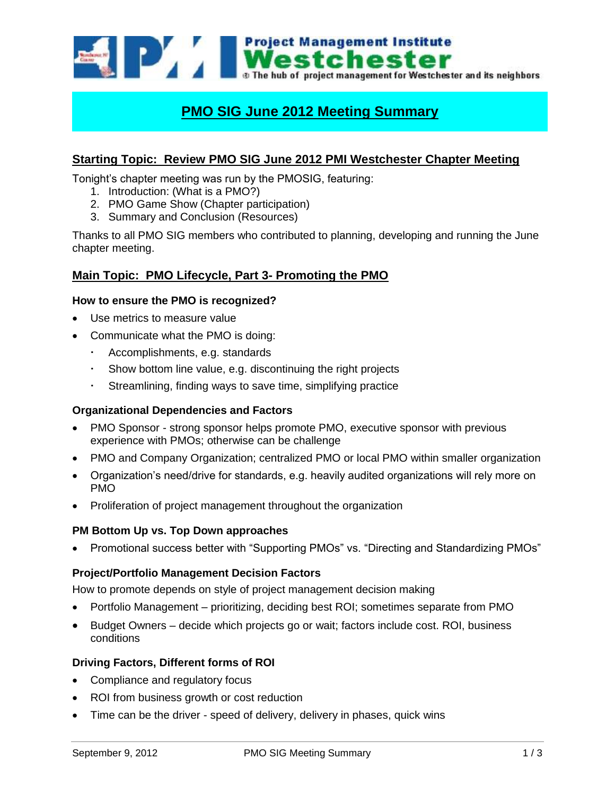

# **PMO SIG June 2012 Meeting Summary**

# **Starting Topic: Review PMO SIG June 2012 PMI Westchester Chapter Meeting**

Tonight's chapter meeting was run by the PMOSIG, featuring:

- 1. Introduction: (What is a PMO?)
- 2. PMO Game Show (Chapter participation)
- 3. Summary and Conclusion (Resources)

Thanks to all PMO SIG members who contributed to planning, developing and running the June chapter meeting.

## **Main Topic: PMO Lifecycle, Part 3- Promoting the PMO**

#### **How to ensure the PMO is recognized?**

- Use metrics to measure value
- Communicate what the PMO is doing:
	- Accomplishments, e.g. standards
	- Show bottom line value, e.g. discontinuing the right projects
	- Streamlining, finding ways to save time, simplifying practice

#### **Organizational Dependencies and Factors**

- PMO Sponsor strong sponsor helps promote PMO, executive sponsor with previous experience with PMOs; otherwise can be challenge
- PMO and Company Organization; centralized PMO or local PMO within smaller organization
- Organization's need/drive for standards, e.g. heavily audited organizations will rely more on PMO
- Proliferation of project management throughout the organization

#### **PM Bottom Up vs. Top Down approaches**

Promotional success better with "Supporting PMOs" vs. "Directing and Standardizing PMOs"

#### **Project/Portfolio Management Decision Factors**

How to promote depends on style of project management decision making

- Portfolio Management prioritizing, deciding best ROI; sometimes separate from PMO
- Budget Owners decide which projects go or wait; factors include cost. ROI, business conditions

## **Driving Factors, Different forms of ROI**

- Compliance and regulatory focus
- ROI from business growth or cost reduction
- Time can be the driver speed of delivery, delivery in phases, quick wins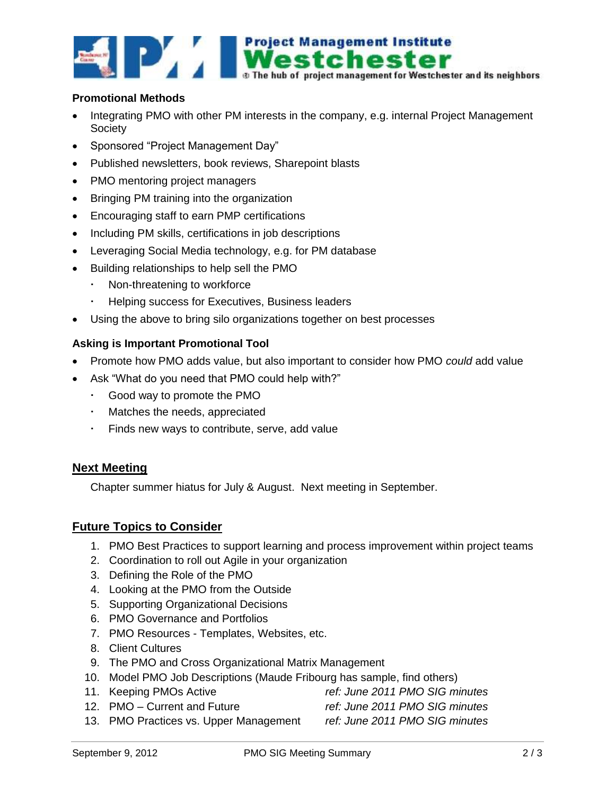

### **Promotional Methods**

- Integrating PMO with other PM interests in the company, e.g. internal Project Management **Society**
- Sponsored "Project Management Day"
- Published newsletters, book reviews, Sharepoint blasts
- PMO mentoring project managers
- Bringing PM training into the organization
- Encouraging staff to earn PMP certifications
- Including PM skills, certifications in job descriptions
- Leveraging Social Media technology, e.g. for PM database
- Building relationships to help sell the PMO
	- Non-threatening to workforce
	- Helping success for Executives, Business leaders
- Using the above to bring silo organizations together on best processes

## **Asking is Important Promotional Tool**

- Promote how PMO adds value, but also important to consider how PMO *could* add value
- Ask "What do you need that PMO could help with?"
	- Good way to promote the PMO
	- Matches the needs, appreciated
	- Finds new ways to contribute, serve, add value

# **Next Meeting**

Chapter summer hiatus for July & August. Next meeting in September.

# **Future Topics to Consider**

- 1. PMO Best Practices to support learning and process improvement within project teams
- 2. Coordination to roll out Agile in your organization
- 3. Defining the Role of the PMO
- 4. Looking at the PMO from the Outside
- 5. Supporting Organizational Decisions
- 6. PMO Governance and Portfolios
- 7. PMO Resources Templates, Websites, etc.
- 8. Client Cultures
- 9. The PMO and Cross Organizational Matrix Management
- 10. Model PMO Job Descriptions (Maude Fribourg has sample, find others)
- 11. Keeping PMOs Active *ref: June 2011 PMO SIG minutes*
	- 12. PMO Current and Future *ref: June 2011 PMO SIG minutes*
	- 13. PMO Practices vs. Upper Management *ref: June 2011 PMO SIG minutes*